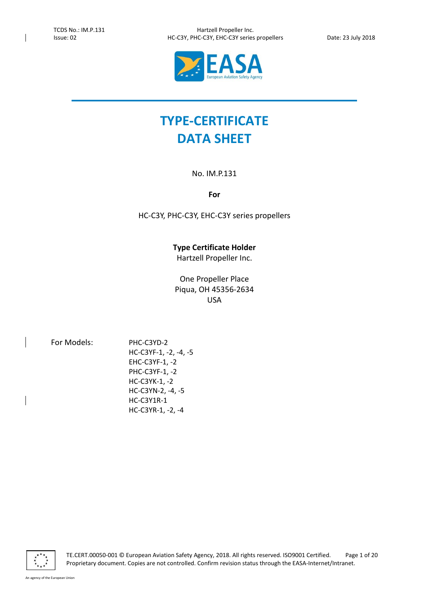

# **TYPE-CERTIFICATE DATA SHEET**

No. IM.P.131

**For**

HC-C3Y, PHC-C3Y, EHC-C3Y series propellers

# **Type Certificate Holder**

Hartzell Propeller Inc.

One Propeller Place Piqua, OH 45356-2634 USA

For Models: PHC-C3YD-2

HC-C3YF-1, -2, -4, -5 EHC-C3YF-1, -2 PHC-C3YF-1, -2 HC-C3YK-1, -2 HC-C3YN-2, -4, -5 HC-C3Y1R-1 HC-C3YR-1, -2, -4

TE.CERT.00050-001 © European Aviation Safety Agency, 2018. All rights reserved. ISO9001 Certified. Page 1 of 20 Proprietary document. Copies are not controlled. Confirm revision status through the EASA-Internet/Intranet.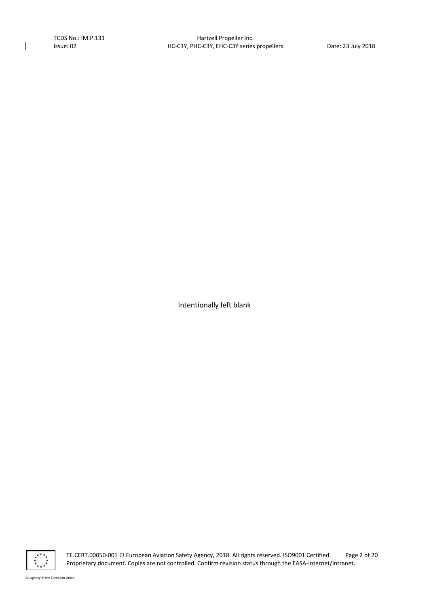$\overline{\phantom{a}}$ 

Intentionally left blank



TE.CERT.00050-001 © European Aviation Safety Agency, 2018. All rights reserved. ISO9001 Certified. Page 2 of 20 Proprietary document. Copies are not controlled. Confirm revision status through the EASA-Internet/Intranet.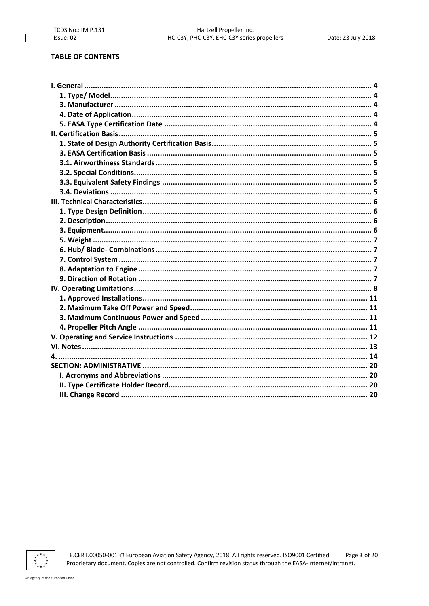# **TABLE OF CONTENTS**

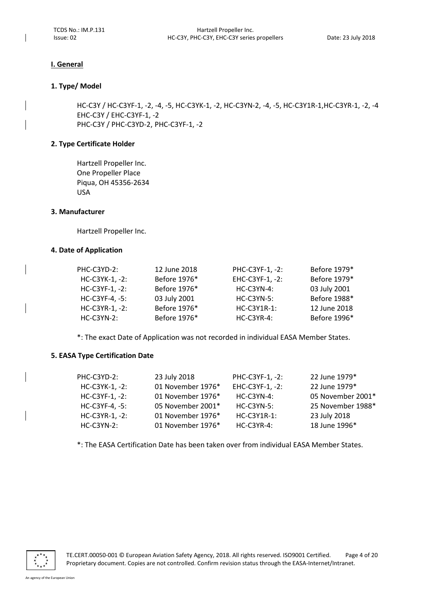# <span id="page-3-0"></span>**I. General**

#### <span id="page-3-1"></span>**1. Type/ Model**

HC-C3Y / HC-C3YF-1, -2, -4, -5, HC-C3YK-1, -2, HC-C3YN-2, -4, -5, HC-C3Y1R-1,HC-C3YR-1, -2, -4 EHC-C3Y / EHC-C3YF-1, -2 PHC-C3Y / PHC-C3YD-2, PHC-C3YF-1, -2

#### **2. Type Certificate Holder**

Hartzell Propeller Inc. One Propeller Place Piqua, OH 45356-2634 USA

# <span id="page-3-2"></span>**3. Manufacturer**

Hartzell Propeller Inc.

#### <span id="page-3-3"></span>**4. Date of Application**

| PHC-C3YD-2:       | 12 June 2018 | PHC-C3YF-1, -2: | Before 1979* |
|-------------------|--------------|-----------------|--------------|
| HC-C3YK-1, -2:    | Before 1976* | EHC-C3YF-1, -2: | Before 1979* |
| $HC-C3YF-1, -2$ : | Before 1976* | $HC-C3YN-4:$    | 03 July 2001 |
| $HC-C3YF-4, -5:$  | 03 July 2001 | $HC-C3YN-5:$    | Before 1988* |
| $HC-C3YR-1, -2$ : | Before 1976* | HC-C3Y1R-1:     | 12 June 2018 |
| <b>HC-C3YN-2:</b> | Before 1976* | $HC-C3YR-4$ :   | Before 1996* |

\*: The exact Date of Application was not recorded in individual EASA Member States.

# <span id="page-3-4"></span>**5. EASA Type Certification Date**

| PHC-C3YD-2:       | 23 July 2018      | PHC-C3YF-1, -2:   | 22 June 1979*     |
|-------------------|-------------------|-------------------|-------------------|
| HC-C3YK-1, -2:    | 01 November 1976* | EHC-C3YF-1, -2:   | 22 June 1979*     |
| HC-C3YF-1, -2:    | 01 November 1976* | HC-C3YN-4:        | 05 November 2001* |
| HC-C3YF-4, -5:    | 05 November 2001* | $HC-C3YN-5:$      | 25 November 1988* |
| HC-C3YR-1, -2:    | 01 November 1976* | HC-C3Y1R-1:       | 23 July 2018      |
| <b>HC-C3YN-2:</b> | 01 November 1976* | <b>HC-C3YR-4:</b> | 18 June 1996*     |

\*: The EASA Certification Date has been taken over from individual EASA Member States.



TE.CERT.00050-001 © European Aviation Safety Agency, 2018. All rights reserved. ISO9001 Certified. Page 4 of 20 Proprietary document. Copies are not controlled. Confirm revision status through the EASA-Internet/Intranet.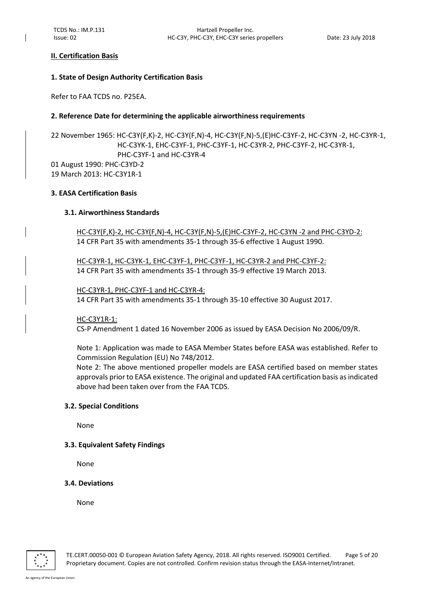# <span id="page-4-0"></span>**II. Certification Basis**

#### <span id="page-4-1"></span>**1. State of Design Authority Certification Basis**

Refer to FAA TCDS no. P25EA.

# **2. Reference Date for determining the applicable airworthiness requirements**

22 November 1965: HC-C3Y(F,K)-2, HC-C3Y(F,N)-4, HC-C3Y(F,N)-5,(E)HC-C3YF-2, HC-C3YN -2, HC-C3YR-1, HC-C3YK-1, EHC-C3YF-1, PHC-C3YF-1, HC-C3YR-2, PHC-C3YF-2, HC-C3YR-1, PHC-C3YF-1 and HC-C3YR-4 01 August 1990: PHC-C3YD-2 19 March 2013: HC-C3Y1R-1

# <span id="page-4-2"></span>**3. EASA Certification Basis**

# <span id="page-4-3"></span>**3.1. Airworthiness Standards**

HC-C3Y(F,K)-2, HC-C3Y(F,N)-4, HC-C3Y(F,N)-5,(E)HC-C3YF-2, HC-C3YN -2 and PHC-C3YD-2: 14 CFR Part 35 with amendments 35-1 through 35-6 effective 1 August 1990.

HC-C3YR-1, HC-C3YK-1, EHC-C3YF-1, PHC-C3YF-1, HC-C3YR-2 and PHC-C3YF-2: 14 CFR Part 35 with amendments 35-1 through 35-9 effective 19 March 2013.

HC-C3YR-1, PHC-C3YF-1 and HC-C3YR-4: 14 CFR Part 35 with amendments 35-1 through 35-10 effective 30 August 2017.

HC-C3Y1R-1:

CS-P Amendment 1 dated 16 November 2006 as issued by EASA Decision No 2006/09/R.

Note 1: Application was made to EASA Member States before EASA was established. Refer to Commission Regulation (EU) No 748/2012.

Note 2: The above mentioned propeller models are EASA certified based on member states approvals prior to EASA existence. The original and updated FAA certification basis as indicated above had been taken over from the FAA TCDS.

# <span id="page-4-4"></span>**3.2. Special Conditions**

None

# <span id="page-4-5"></span>**3.3. Equivalent Safety Findings**

None

#### <span id="page-4-6"></span>**3.4. Deviations**

None

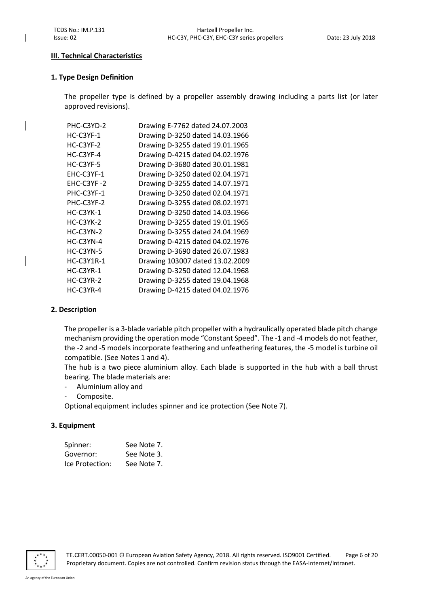#### <span id="page-5-0"></span>**III. Technical Characteristics**

#### <span id="page-5-1"></span>**1. Type Design Definition**

The propeller type is defined by a propeller assembly drawing including a parts list (or later approved revisions).

| PHC-C3YD-2        | Drawing E-7762 dated 24.07.2003 |
|-------------------|---------------------------------|
| $HC-C3YF-1$       | Drawing D-3250 dated 14.03.1966 |
| $HC-C3YF-2$       | Drawing D-3255 dated 19.01.1965 |
| HC-C3YF-4         | Drawing D-4215 dated 04.02.1976 |
| HC-C3YF-5         | Drawing D-3680 dated 30.01.1981 |
| EHC-C3YF-1        | Drawing D-3250 dated 02.04.1971 |
| EHC-C3YF-2        | Drawing D-3255 dated 14.07.1971 |
| PHC-C3YF-1        | Drawing D-3250 dated 02.04.1971 |
| PHC-C3YF-2        | Drawing D-3255 dated 08.02.1971 |
| HC-C3YK-1         | Drawing D-3250 dated 14.03.1966 |
| $HC-C3YK-2$       | Drawing D-3255 dated 19.01.1965 |
| HC-C3YN-2         | Drawing D-3255 dated 24.04.1969 |
| HC-C3YN-4         | Drawing D-4215 dated 04.02.1976 |
| HC-C3YN-5         | Drawing D-3690 dated 26.07.1983 |
| <b>HC-C3Y1R-1</b> | Drawing 103007 dated 13.02.2009 |
| HC-C3YR-1         | Drawing D-3250 dated 12.04.1968 |
| HC-C3YR-2         | Drawing D-3255 dated 19.04.1968 |
| HC-C3YR-4         | Drawing D-4215 dated 04.02.1976 |
|                   |                                 |

#### <span id="page-5-2"></span>**2. Description**

The propeller is a 3-blade variable pitch propeller with a hydraulically operated blade pitch change mechanism providing the operation mode "Constant Speed". The -1 and -4 models do not feather, the -2 and -5 models incorporate feathering and unfeathering features, the -5 model is turbine oil compatible. (See Notes 1 and 4).

The hub is a two piece aluminium alloy. Each blade is supported in the hub with a ball thrust bearing. The blade materials are:

- Aluminium alloy and
- Composite.

Optional equipment includes spinner and ice protection (See Note 7).

#### <span id="page-5-3"></span>**3. Equipment**

| Spinner:        | See Note 7. |
|-----------------|-------------|
| Governor:       | See Note 3. |
| Ice Protection: | See Note 7. |



TE.CERT.00050-001 © European Aviation Safety Agency, 2018. All rights reserved. ISO9001 Certified. Page 6 of 20 Proprietary document. Copies are not controlled. Confirm revision status through the EASA-Internet/Intranet.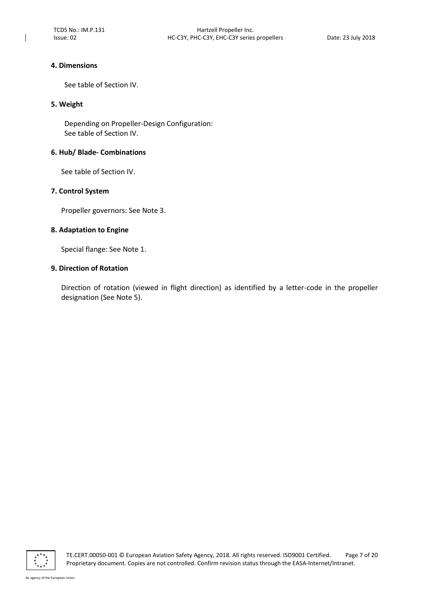#### **4. Dimensions**

See table of Section IV.

#### <span id="page-6-0"></span>**5. Weight**

Depending on Propeller-Design Configuration: See table of Section IV.

#### <span id="page-6-1"></span>**6. Hub/ Blade- Combinations**

See table of Section IV.

#### <span id="page-6-2"></span>**7. Control System**

Propeller governors: See Note 3.

#### <span id="page-6-3"></span>**8. Adaptation to Engine**

Special flange: See Note 1.

#### <span id="page-6-4"></span>**9. Direction of Rotation**

Direction of rotation (viewed in flight direction) as identified by a letter-code in the propeller designation (See Note 5).



TE.CERT.00050-001 © European Aviation Safety Agency, 2018. All rights reserved. ISO9001 Certified. Page 7 of 20 Proprietary document. Copies are not controlled. Confirm revision status through the EASA-Internet/Intranet.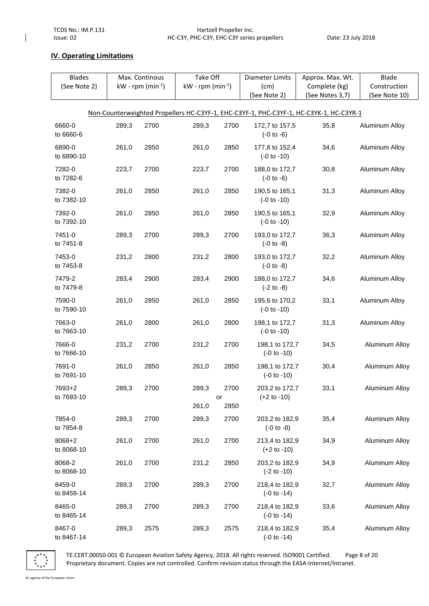# TCDS No.: IM.P.131 Hartzell Propeller Inc.<br>Issue: 02 HC-C3Y, PHC-C3Y, EHC-C3Y series HC-C3Y, PHC-C3Y, EHC-C3Y series propellers Date: 23 July 2018

# <span id="page-7-0"></span>**IV. Operating Limitations**

| <b>Blades</b>        |       | Max. Continous                  | Take Off                        |            | <b>Diameter Limits</b>                   | Approx. Max. Wt.                                                                       | Blade                         |
|----------------------|-------|---------------------------------|---------------------------------|------------|------------------------------------------|----------------------------------------------------------------------------------------|-------------------------------|
| (See Note 2)         |       | $kW$ - rpm (min <sup>-1</sup> ) | $kW$ - rpm (min <sup>-1</sup> ) |            | (cm)<br>(See Note 2)                     | Complete (kg)<br>(See Notes 3,7)                                                       | Construction<br>(See Note 10) |
|                      |       |                                 |                                 |            |                                          |                                                                                        |                               |
|                      |       |                                 |                                 |            |                                          | Non-Counterweighted Propellers HC-C3YF-1, EHC-C3YF-1, PHC-C3YF-1, HC-C3YK-1, HC-C3YR-1 |                               |
| 6660-0<br>to 6660-6  | 289,3 | 2700                            | 289,3                           | 2700       | 172,7 to 157,5<br>$(-0)$ to $-6$ )       | 35,8                                                                                   | Aluminum Alloy                |
| 6890-0<br>to 6890-10 | 261,0 | 2850                            | 261,0                           | 2850       | 177,8 to 152,4<br>$(-0 to -10)$          | 34,6                                                                                   | Aluminum Alloy                |
| 7282-0<br>to 7282-6  | 223,7 | 2700                            | 223,7                           | 2700       | 188,0 to 172,7<br>$(-0)$ to $-6$ )       | 30,8                                                                                   | Aluminum Alloy                |
| 7382-0<br>to 7382-10 | 261,0 | 2850                            | 261,0                           | 2850       | 190,5 to 165,1<br>$(-0 to -10)$          | 31,3                                                                                   | Aluminum Alloy                |
| 7392-0<br>to 7392-10 | 261,0 | 2850                            | 261,0                           | 2850       | 190,5 to 165,1<br>$(-0 to -10)$          | 32,9                                                                                   | Aluminum Alloy                |
| 7451-0<br>to 7451-8  | 289,3 | 2700                            | 289,3                           | 2700       | 193,0 to 172,7<br>$(-0 to -8)$           | 36,3                                                                                   | Aluminum Alloy                |
| 7453-0<br>to 7453-8  | 231,2 | 2800                            | 231,2                           | 2800       | 193,0 to 172,7<br>$(-0 to -8)$           | 32,2                                                                                   | Aluminum Alloy                |
| 7479-2<br>to 7479-8  | 283,4 | 2900                            | 283,4                           | 2900       | 188,0 to 172,7<br>$(-2 to -8)$           | 34,6                                                                                   | Aluminum Alloy                |
| 7590-0<br>to 7590-10 | 261,0 | 2850                            | 261,0                           | 2850       | 195,6 to 170,2<br>$(-0 to -10)$          | 33,1                                                                                   | Aluminum Alloy                |
| 7663-0<br>to 7663-10 | 261,0 | 2800                            | 261,0                           | 2800       | 198,1 to 172,7<br>$(-0 to -10)$          | 31,3                                                                                   | Aluminum Alloy                |
| 7666-0<br>to 7666-10 | 231,2 | 2700                            | 231,2                           | 2700       | 198,1 to 172,7<br>$(-0 to -10)$          | 34,5                                                                                   | Aluminum Alloy                |
| 7691-0<br>to 7691-10 | 261,0 | 2850                            | 261,0                           | 2850       | 198,1 to 172,7<br>$(-0 to -10)$          | 30,4                                                                                   | Aluminum Alloy                |
| 7693+2<br>to 7693-10 | 289,3 | 2700                            | 289,3                           | 2700<br>or | 203,2 to 172,7<br>$(+2 \text{ to } -10)$ | 33,1                                                                                   | Aluminum Alloy                |
|                      |       |                                 | 261,0                           | 2850       |                                          |                                                                                        |                               |
| 7854-0<br>to 7854-8  | 289,3 | 2700                            | 289,3                           | 2700       | 203,2 to 182,9<br>$(-0 to -8)$           | 35,4                                                                                   | Aluminum Alloy                |
| 8068+2<br>to 8068-10 | 261,0 | 2700                            | 261,0                           | 2700       | 213,4 to 182,9<br>$(+2 to -10)$          | 34,9                                                                                   | Aluminum Alloy                |
| 8068-2<br>to 8068-10 | 261,0 | 2700                            | 231,2                           | 2850       | 203,2 to 182,9<br>$(-2 to -10)$          | 34,9                                                                                   | Aluminum Alloy                |
| 8459-0<br>to 8459-14 | 289,3 | 2700                            | 289,3                           | 2700       | 218,4 to 182,9<br>$(-0 to -14)$          | 32,7                                                                                   | Aluminum Alloy                |
| 8465-0<br>to 8465-14 | 289,3 | 2700                            | 289,3                           | 2700       | 218,4 to 182,9<br>$(-0 to -14)$          | 33,6                                                                                   | Aluminum Alloy                |
| 8467-0<br>to 8467-14 | 289,3 | 2575                            | 289,3                           | 2575       | 218,4 to 182,9<br>$(-0 to -14)$          | 35,4                                                                                   | Aluminum Alloy                |



TE.CERT.00050-001 © European Aviation Safety Agency, 2018. All rights reserved. ISO9001 Certified. Page 8 of 20 Proprietary document. Copies are not controlled. Confirm revision status through the EASA-Internet/Intranet.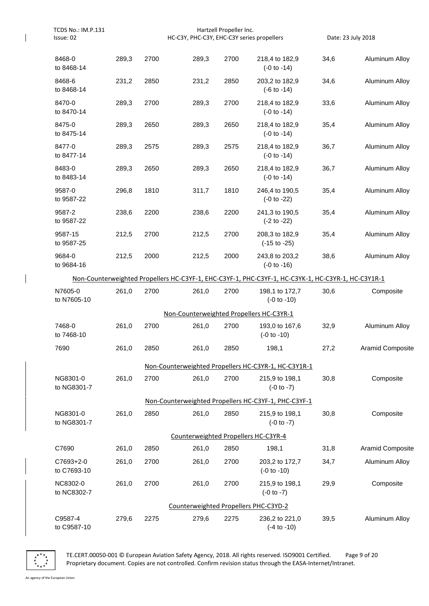| TCDS No.: IM.P.131<br>Issue: 02 |       |      | HC-C3Y, PHC-C3Y, EHC-C3Y series propellers | Hartzell Propeller Inc. |                                                                                                    |      | Date: 23 July 2018 |
|---------------------------------|-------|------|--------------------------------------------|-------------------------|----------------------------------------------------------------------------------------------------|------|--------------------|
| 8468-0<br>to 8468-14            | 289,3 | 2700 | 289,3                                      | 2700                    | 218,4 to 182,9<br>$(-0 to -14)$                                                                    | 34,6 | Aluminum Alloy     |
| 8468-6<br>to 8468-14            | 231,2 | 2850 | 231,2                                      | 2850                    | 203,2 to 182,9<br>$(-6 to -14)$                                                                    | 34,6 | Aluminum Alloy     |
| 8470-0<br>to 8470-14            | 289,3 | 2700 | 289,3                                      | 2700                    | 218,4 to 182,9<br>$(-0 to -14)$                                                                    | 33,6 | Aluminum Alloy     |
| 8475-0<br>to 8475-14            | 289,3 | 2650 | 289,3                                      | 2650                    | 218,4 to 182,9<br>$(-0 to -14)$                                                                    | 35,4 | Aluminum Alloy     |
| 8477-0<br>to 8477-14            | 289,3 | 2575 | 289,3                                      | 2575                    | 218,4 to 182,9<br>$(-0 to -14)$                                                                    | 36,7 | Aluminum Alloy     |
| 8483-0<br>to 8483-14            | 289,3 | 2650 | 289,3                                      | 2650                    | 218,4 to 182,9<br>$(-0 to -14)$                                                                    | 36,7 | Aluminum Alloy     |
| 9587-0<br>to 9587-22            | 296,8 | 1810 | 311,7                                      | 1810                    | 246,4 to 190,5<br>$(-0)$ to $-22)$                                                                 | 35,4 | Aluminum Alloy     |
| 9587-2<br>to 9587-22            | 238,6 | 2200 | 238,6                                      | 2200                    | 241,3 to 190,5<br>$(-2 to -22)$                                                                    | 35,4 | Aluminum Alloy     |
| 9587-15<br>to 9587-25           | 212,5 | 2700 | 212,5                                      | 2700                    | 208,3 to 182,9<br>$(-15 \text{ to } -25)$                                                          | 35,4 | Aluminum Alloy     |
| 9684-0<br>to 9684-16            | 212,5 | 2000 | 212,5                                      | 2000                    | 243,8 to 203,2<br>$(-0 to -16)$                                                                    | 38,6 | Aluminum Alloy     |
|                                 |       |      |                                            |                         | Non-Counterweighted Propellers HC-C3YF-1, EHC-C3YF-1, PHC-C3YF-1, HC-C3YK-1, HC-C3YR-1, HC-C3Y1R-1 |      |                    |
| N7605-0<br>to N7605-10          | 261,0 | 2700 | 261,0                                      | 2700                    | 198,1 to 172,7<br>$(-0 to -10)$                                                                    | 30,6 | Composite          |
|                                 |       |      | Non-Counterweighted Propellers HC-C3YR-1   |                         |                                                                                                    |      |                    |
| 7468-0<br>to 7468-10            | 261,0 | 2700 | 261,0                                      | 2700                    | 193,0 to 167,6<br>$(-0 to -10)$                                                                    | 32,9 | Aluminum Alloy     |
| 7690                            | 261,0 | 2850 | 261,0                                      | 2850                    | 198,1                                                                                              | 27,2 | Aramid Composite   |
|                                 |       |      |                                            |                         | Non-Counterweighted Propellers HC-C3YR-1, HC-C3Y1R-1                                               |      |                    |
| NG8301-0<br>to NG8301-7         | 261,0 | 2700 | 261,0                                      | 2700                    | 215,9 to 198,1<br>$(-0 to -7)$                                                                     | 30,8 | Composite          |
|                                 |       |      |                                            |                         | Non-Counterweighted Propellers HC-C3YF-1, PHC-C3YF-1                                               |      |                    |
| NG8301-0<br>to NG8301-7         | 261,0 | 2850 | 261,0                                      | 2850                    | 215,9 to 198,1<br>$(-0 to -7)$                                                                     | 30,8 | Composite          |
|                                 |       |      | Counterweighted Propellers HC-C3YR-4       |                         |                                                                                                    |      |                    |
| C7690                           | 261,0 | 2850 | 261,0                                      | 2850                    | 198,1                                                                                              | 31,8 | Aramid Composite   |
| C7693+2-0<br>to C7693-10        | 261,0 | 2700 | 261,0                                      | 2700                    | 203,2 to 172,7<br>$(-0 to -10)$                                                                    | 34,7 | Aluminum Alloy     |
| NC8302-0<br>to NC8302-7         | 261,0 | 2700 | 261,0                                      | 2700                    | 215,9 to 198,1<br>$(-0 to -7)$                                                                     | 29,9 | Composite          |
|                                 |       |      | Counterweighted Propellers PHC-C3YD-2      |                         |                                                                                                    |      |                    |
| C9587-4<br>to C9587-10          | 279,6 | 2275 | 279,6                                      | 2275                    | 236,2 to 221,0<br>$(-4 to -10)$                                                                    | 39,5 | Aluminum Alloy     |

 $\frac{1}{x}$ 

TE.CERT.00050-001 © European Aviation Safety Agency, 2018. All rights reserved. ISO9001 Certified. Page 9 of 20 Proprietary document. Copies are not controlled. Confirm revision status through the EASA-Internet/Intranet.

 $\overline{\phantom{a}}$ 

 $\overline{\phantom{a}}$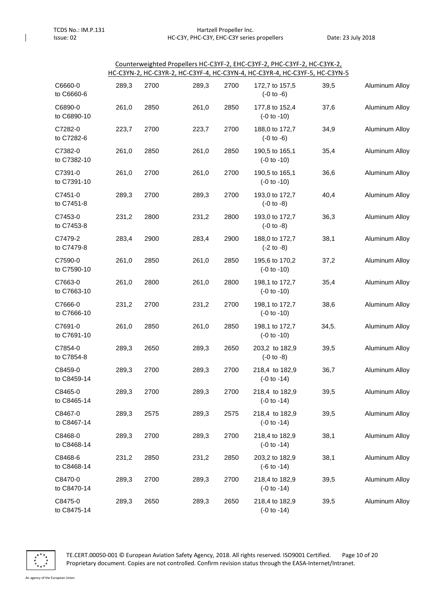TCDS No.: IM.P.131 Hartzell Propeller Inc.<br>Issue: 02 HC-C3Y, PHC-C3Y, EHC-C3Y series HC-C3Y, PHC-C3Y, EHC-C3Y series propellers Date: 23 July 2018

|                        |       |      |       |      | Counterweighted Propellers HC-C3YF-2, EHC-C3YF-2, PHC-C3YF-2, HC-C3YK-2,<br>HC-C3YN-2, HC-C3YR-2, HC-C3YF-4, HC-C3YN-4, HC-C3YR-4, HC-C3YF-5, HC-C3YN-5 |       |                       |
|------------------------|-------|------|-------|------|---------------------------------------------------------------------------------------------------------------------------------------------------------|-------|-----------------------|
| C6660-0<br>to C6660-6  | 289,3 | 2700 | 289,3 | 2700 | 172,7 to 157,5<br>$(-0)$ to $-6$ )                                                                                                                      | 39,5  | Aluminum Alloy        |
| C6890-0<br>to C6890-10 | 261,0 | 2850 | 261,0 | 2850 | 177,8 to 152,4<br>$(-0 to -10)$                                                                                                                         | 37,6  | Aluminum Alloy        |
| C7282-0<br>to C7282-6  | 223,7 | 2700 | 223,7 | 2700 | 188,0 to 172,7<br>$(-0)$ to $-6$ )                                                                                                                      | 34,9  | Aluminum Alloy        |
| C7382-0<br>to C7382-10 | 261,0 | 2850 | 261,0 | 2850 | 190,5 to 165,1<br>$(-0 to -10)$                                                                                                                         | 35,4  | Aluminum Alloy        |
| C7391-0<br>to C7391-10 | 261,0 | 2700 | 261,0 | 2700 | 190,5 to 165,1<br>$(-0 to -10)$                                                                                                                         | 36,6  | Aluminum Alloy        |
| C7451-0<br>to C7451-8  | 289,3 | 2700 | 289,3 | 2700 | 193,0 to 172,7<br>$(-0 to -8)$                                                                                                                          | 40,4  | Aluminum Alloy        |
| C7453-0<br>to C7453-8  | 231,2 | 2800 | 231,2 | 2800 | 193,0 to 172,7<br>$(-0 to -8)$                                                                                                                          | 36,3  | <b>Aluminum Alloy</b> |
| C7479-2<br>to C7479-8  | 283,4 | 2900 | 283,4 | 2900 | 188,0 to 172,7<br>$(-2 to -8)$                                                                                                                          | 38,1  | Aluminum Alloy        |
| C7590-0<br>to C7590-10 | 261,0 | 2850 | 261,0 | 2850 | 195,6 to 170,2<br>$(-0 to -10)$                                                                                                                         | 37,2  | Aluminum Alloy        |
| C7663-0<br>to C7663-10 | 261,0 | 2800 | 261,0 | 2800 | 198,1 to 172,7<br>$(-0 to -10)$                                                                                                                         | 35,4  | Aluminum Alloy        |
| C7666-0<br>to C7666-10 | 231,2 | 2700 | 231,2 | 2700 | 198,1 to 172,7<br>$(-0 to -10)$                                                                                                                         | 38,6  | Aluminum Alloy        |
| C7691-0<br>to C7691-10 | 261,0 | 2850 | 261,0 | 2850 | 198,1 to 172,7<br>$(-0 to -10)$                                                                                                                         | 34,5. | Aluminum Alloy        |
| C7854-0<br>to C7854-8  | 289,3 | 2650 | 289,3 | 2650 | 203,2 to 182,9<br>$(-0 to -8)$                                                                                                                          | 39,5  | Aluminum Alloy        |
| C8459-0<br>to C8459-14 | 289,3 | 2700 | 289,3 | 2700 | 218,4 to 182,9<br>$(-0)$ to $-14)$                                                                                                                      | 36,7  | Aluminum Alloy        |
| C8465-0<br>to C8465-14 | 289,3 | 2700 | 289,3 | 2700 | 218,4 to 182,9<br>$(-0 to -14)$                                                                                                                         | 39,5  | Aluminum Alloy        |
| C8467-0<br>to C8467-14 | 289,3 | 2575 | 289,3 | 2575 | 218,4 to 182,9<br>$(-0 to -14)$                                                                                                                         | 39,5  | Aluminum Alloy        |
| C8468-0<br>to C8468-14 | 289,3 | 2700 | 289,3 | 2700 | 218,4 to 182,9<br>$(-0 to -14)$                                                                                                                         | 38,1  | Aluminum Alloy        |
| C8468-6<br>to C8468-14 | 231,2 | 2850 | 231,2 | 2850 | 203,2 to 182,9<br>$(-6 to -14)$                                                                                                                         | 38,1  | Aluminum Alloy        |
| C8470-0<br>to C8470-14 | 289,3 | 2700 | 289,3 | 2700 | 218,4 to 182,9<br>$(-0 to -14)$                                                                                                                         | 39,5  | Aluminum Alloy        |
| C8475-0<br>to C8475-14 | 289,3 | 2650 | 289,3 | 2650 | 218,4 to 182,9<br>$(-0 to -14)$                                                                                                                         | 39,5  | Aluminum Alloy        |

 $x^{*}_{x}$ <br>  $x^{*}_{x}$ <br>  $x^{*}_{x}$ 

TE.CERT.00050-001 © European Aviation Safety Agency, 2018. All rights reserved. ISO9001 Certified. Page 10 of 20 Proprietary document. Copies are not controlled. Confirm revision status through the EASA-Internet/Intranet.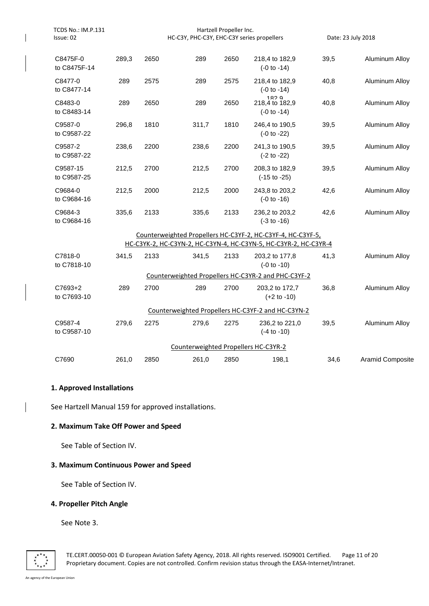| <b>TCDS No.: IM.P.131</b><br>Issue: 02 |       |      | HC-C3Y, PHC-C3Y, EHC-C3Y series propellers | Hartzell Propeller Inc. |                                                                  |      | Date: 23 July 2018 |
|----------------------------------------|-------|------|--------------------------------------------|-------------------------|------------------------------------------------------------------|------|--------------------|
| C8475F-0<br>to C8475F-14               | 289,3 | 2650 | 289                                        | 2650                    | 218,4 to 182,9<br>$(-0 to -14)$                                  | 39,5 | Aluminum Alloy     |
| C8477-0<br>to C8477-14                 | 289   | 2575 | 289                                        | 2575                    | 218,4 to 182,9<br>$(-0)$ to $-14$ )                              | 40,8 | Aluminum Alloy     |
| C8483-0<br>to C8483-14                 | 289   | 2650 | 289                                        | 2650                    | 1820<br>218,4 to 182,9<br>$(-0 to -14)$                          | 40,8 | Aluminum Alloy     |
| C9587-0<br>to C9587-22                 | 296,8 | 1810 | 311,7                                      | 1810                    | 246,4 to 190,5<br>$(-0)$ to $-22)$                               | 39,5 | Aluminum Alloy     |
| C9587-2<br>to C9587-22                 | 238,6 | 2200 | 238,6                                      | 2200                    | 241,3 to 190,5<br>$(-2 to -22)$                                  | 39,5 | Aluminum Alloy     |
| C9587-15<br>to C9587-25                | 212,5 | 2700 | 212,5                                      | 2700                    | 208,3 to 182,9<br>$(-15$ to $-25)$                               | 39,5 | Aluminum Alloy     |
| C9684-0<br>to C9684-16                 | 212,5 | 2000 | 212,5                                      | 2000                    | 243,8 to 203,2<br>$(-0 to -16)$                                  | 42,6 | Aluminum Alloy     |
| C9684-3<br>to C9684-16                 | 335,6 | 2133 | 335,6                                      | 2133                    | 236,2 to 203,2<br>$(-3 to -16)$                                  | 42,6 | Aluminum Alloy     |
|                                        |       |      |                                            |                         | Counterweighted Propellers HC-C3YF-2, HC-C3YF-4, HC-C3YF-5,      |      |                    |
|                                        |       |      |                                            |                         | HC-C3YK-2, HC-C3YN-2, HC-C3YN-4, HC-C3YN-5, HC-C3YR-2, HC-C3YR-4 |      |                    |
| C7818-0<br>to C7818-10                 | 341,5 | 2133 | 341,5                                      | 2133                    | 203,2 to 177,8<br>$(-0 to -10)$                                  | 41,3 | Aluminum Alloy     |
|                                        |       |      |                                            |                         | Counterweighted Propellers HC-C3YR-2 and PHC-C3YF-2              |      |                    |
| $C7693+2$<br>to C7693-10               | 289   | 2700 | 289                                        | 2700                    | 203,2 to 172,7<br>$(+2 to -10)$                                  | 36,8 | Aluminum Alloy     |
|                                        |       |      |                                            |                         | Counterweighted Propellers HC-C3YF-2 and HC-C3YN-2               |      |                    |
| C9587-4<br>to C9587-10                 | 279,6 | 2275 | 279,6                                      | 2275                    | 236,2 to 221,0<br>$(-4 to -10)$                                  | 39,5 | Aluminum Alloy     |
|                                        |       |      | Counterweighted Propellers HC-C3YR-2       |                         |                                                                  |      |                    |
| C7690                                  | 261,0 | 2850 | 261,0                                      | 2850                    | 198,1                                                            | 34,6 | Aramid Composite   |

# <span id="page-10-0"></span>**1. Approved Installations**

See Hartzell Manual 159 for approved installations.

# <span id="page-10-1"></span>**2. Maximum Take Off Power and Speed**

See Table of Section IV.

# <span id="page-10-2"></span>**3. Maximum Continuous Power and Speed**

See Table of Section IV.

# <span id="page-10-3"></span>**4. Propeller Pitch Angle**

See Note 3.



TE.CERT.00050-001 © European Aviation Safety Agency, 2018. All rights reserved. ISO9001 Certified. Page 11 of 20 Proprietary document. Copies are not controlled. Confirm revision status through the EASA-Internet/Intranet.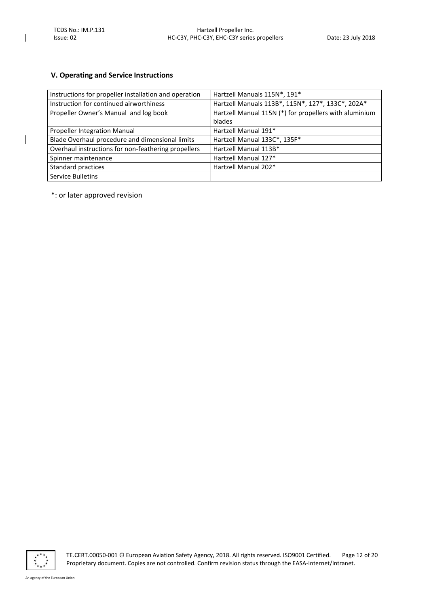$\overline{\phantom{a}}$ 

# <span id="page-11-0"></span>**V. Operating and Service Instructions**

| Instructions for propeller installation and operation | Hartzell Manuals 115N*, 191*                           |
|-------------------------------------------------------|--------------------------------------------------------|
| Instruction for continued airworthiness               | Hartzell Manuals 113B*, 115N*, 127*, 133C*, 202A*      |
| Propeller Owner's Manual and log book                 | Hartzell Manual 115N (*) for propellers with aluminium |
|                                                       | blades                                                 |
| Propeller Integration Manual                          | Hartzell Manual 191*                                   |
| Blade Overhaul procedure and dimensional limits       | Hartzell Manual 133C*, 135F*                           |
| Overhaul instructions for non-feathering propellers   | Hartzell Manual 113B*                                  |
| Spinner maintenance                                   | Hartzell Manual 127*                                   |
| Standard practices                                    | Hartzell Manual 202*                                   |
| Service Bulletins                                     |                                                        |

\*: or later approved revision



TE.CERT.00050-001 © European Aviation Safety Agency, 2018. All rights reserved. ISO9001 Certified. Page 12 of 20 Proprietary document. Copies are not controlled. Confirm revision status through the EASA-Internet/Intranet.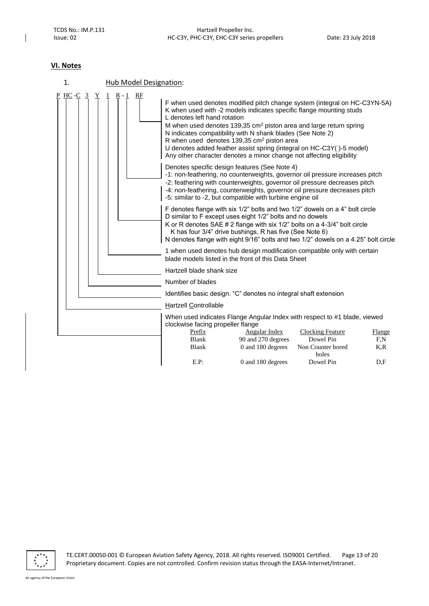#### <span id="page-12-0"></span>**VI. Notes**

| 1.                               |           | Hub Model Designation:            |                                                                                                                                                                                                                                                                                                                                                                                                                                                                                                            |                            |        |
|----------------------------------|-----------|-----------------------------------|------------------------------------------------------------------------------------------------------------------------------------------------------------------------------------------------------------------------------------------------------------------------------------------------------------------------------------------------------------------------------------------------------------------------------------------------------------------------------------------------------------|----------------------------|--------|
| $\underline{HC} - \underline{C}$ | RF<br>R - | L denotes left hand rotation      | F when used denotes modified pitch change system (integral on HC-C3YN-5A)<br>K when used with -2 models indicates specific flange mounting studs<br>M when used denotes 139,35 cm <sup>2</sup> piston area and large return spring<br>N indicates compatibility with N shank blades (See Note 2)<br>R when used denotes 139,35 cm <sup>2</sup> piston area<br>U denotes added feather assist spring (integral on HC-C3Y()-5 model)<br>Any other character denotes a minor change not affecting eligibility |                            |        |
|                                  |           |                                   | Denotes specific design features (See Note 4)<br>-1: non-feathering, no counterweights, governor oil pressure increases pitch<br>-2: feathering with counterweights, governor oil pressure decreases pitch<br>-4: non-feathering, counterweights, governor oil pressure decreases pitch<br>-5: similar to -2, but compatible with turbine engine oil                                                                                                                                                       |                            |        |
|                                  |           |                                   | F denotes flange with six 1/2" bolts and two 1/2" dowels on a 4" bolt circle<br>D similar to F except uses eight 1/2" bolts and no dowels<br>K or R denotes SAE # 2 flange with six 1/2" bolts on a 4-3/4" bolt circle<br>K has four 3/4" drive bushings, R has five (See Note 6)<br>N denotes flange with eight 9/16" bolts and two 1/2" dowels on a 4.25" bolt circle                                                                                                                                    |                            |        |
|                                  |           |                                   | 1 when used denotes hub design modification compatible only with certain<br>blade models listed in the front of this Data Sheet                                                                                                                                                                                                                                                                                                                                                                            |                            |        |
|                                  |           | Hartzell blade shank size         |                                                                                                                                                                                                                                                                                                                                                                                                                                                                                                            |                            |        |
|                                  |           | Number of blades                  |                                                                                                                                                                                                                                                                                                                                                                                                                                                                                                            |                            |        |
|                                  |           |                                   | Identifies basic design. "C" denotes no integral shaft extension                                                                                                                                                                                                                                                                                                                                                                                                                                           |                            |        |
|                                  |           | <b>Hartzell Controllable</b>      |                                                                                                                                                                                                                                                                                                                                                                                                                                                                                                            |                            |        |
|                                  |           | clockwise facing propeller flange | When used indicates Flange Angular Index with respect to #1 blade, viewed                                                                                                                                                                                                                                                                                                                                                                                                                                  |                            |        |
|                                  |           | Prefix                            | <b>Angular Index</b>                                                                                                                                                                                                                                                                                                                                                                                                                                                                                       | <b>Clocking Feature</b>    | Flange |
|                                  |           | Blank                             | 90 and 270 degrees                                                                                                                                                                                                                                                                                                                                                                                                                                                                                         | Dowel Pin                  | F.N    |
|                                  |           | Blank                             | 0 and 180 degrees                                                                                                                                                                                                                                                                                                                                                                                                                                                                                          | Non Counter bored<br>holes | K.R    |
|                                  |           | $E.P$ :                           | 0 and 180 degrees                                                                                                                                                                                                                                                                                                                                                                                                                                                                                          | Dowel Pin                  | D.F    |

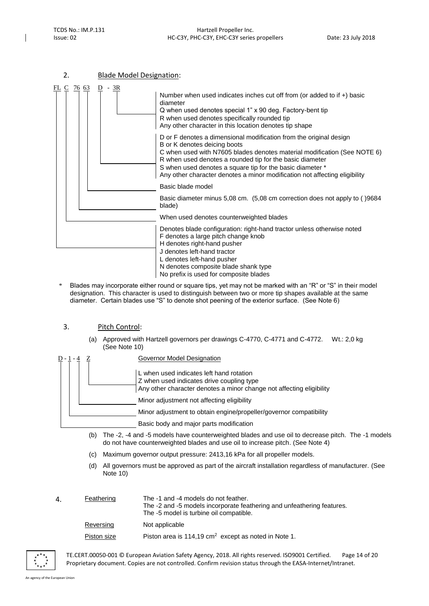



Blades may incorporate either round or square tips, yet may not be marked with an "R" or "S" in their model designation. This character is used to distinguish between two or more tip shapes available at the same diameter. Certain blades use "S" to denote shot peening of the exterior surface. (See Note 6)

# 3. Pitch Control:

(a) Approved with Hartzell governors per drawings C-4770, C-4771 and C-4772. Wt.: 2,0 kg (See Note 10)

| $D - 1 - 4$ | Governor Model Designation                                                                                                                                    |
|-------------|---------------------------------------------------------------------------------------------------------------------------------------------------------------|
|             | L when used indicates left hand rotation<br>Z when used indicates drive coupling type<br>Any other character denotes a minor change not affecting eligibility |
|             | Minor adjustment not affecting eligibility                                                                                                                    |
|             | Minor adjustment to obtain engine/propeller/governor compatibility                                                                                            |
|             | Basic body and major parts modification                                                                                                                       |

- (b) The -2, -4 and -5 models have counterweighted blades and use oil to decrease pitch. The -1 models do not have counterweighted blades and use oil to increase pitch. (See Note 4)
- (c) Maximum governor output pressure: 2413,16 kPa for all propeller models.
- (d) All governors must be approved as part of the aircraft installation regardless of manufacturer. (See Note 10)

<span id="page-13-0"></span>

| 4. | Feathering  | The -1 and -4 models do not feather.<br>The -2 and -5 models incorporate feathering and unfeathering features.<br>The -5 model is turbine oil compatible. |  |  |  |
|----|-------------|-----------------------------------------------------------------------------------------------------------------------------------------------------------|--|--|--|
|    | Reversing   | Not applicable                                                                                                                                            |  |  |  |
|    | Piston size | Piston area is $114.19 \text{ cm}^2$ except as noted in Note 1.                                                                                           |  |  |  |

TE.CERT.00050-001 © European Aviation Safety Agency, 2018. All rights reserved. ISO9001 Certified. Page 14 of 20 Proprietary document. Copies are not controlled. Confirm revision status through the EASA-Internet/Intranet.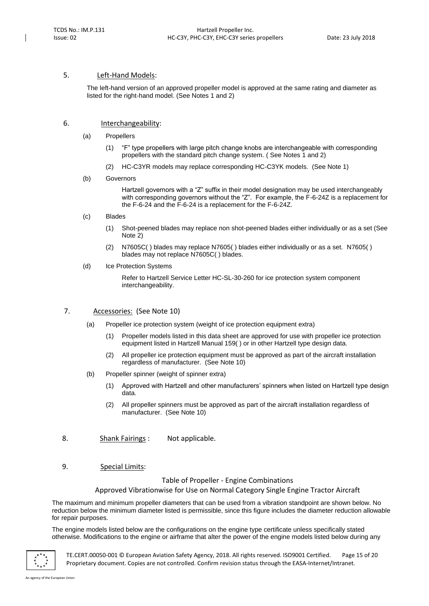#### 5. Left-Hand Models:

The left-hand version of an approved propeller model is approved at the same rating and diameter as listed for the right-hand model. (See Notes 1 and 2)

#### 6. Interchangeability:

- (a) Propellers
	- (1) "F" type propellers with large pitch change knobs are interchangeable with corresponding propellers with the standard pitch change system. ( See Notes 1 and 2)
	- (2) HC-C3YR models may replace corresponding HC-C3YK models. (See Note 1)

#### (b) Governors

Hartzell governors with a "Z" suffix in their model designation may be used interchangeably with corresponding governors without the "Z". For example, the F-6-24Z is a replacement for the F-6-24 and the F-6-24 is a replacement for the F-6-24Z.

#### (c) Blades

- (1) Shot-peened blades may replace non shot-peened blades either individually or as a set (See Note 2)
- (2) N7605C( ) blades may replace N7605( ) blades either individually or as a set. N7605( ) blades may not replace N7605C( ) blades.

#### (d) Ice Protection Systems

Refer to Hartzell Service Letter HC-SL-30-260 for ice protection system component interchangeability.

#### 7. Accessories: (See Note 10)

- (a) Propeller ice protection system (weight of ice protection equipment extra)
	- (1) Propeller models listed in this data sheet are approved for use with propeller ice protection equipment listed in Hartzell Manual 159( ) or in other Hartzell type design data.
	- (2) All propeller ice protection equipment must be approved as part of the aircraft installation regardless of manufacturer. (See Note 10)
- (b) Propeller spinner (weight of spinner extra)
	- (1) Approved with Hartzell and other manufacturers' spinners when listed on Hartzell type design data.
	- (2) All propeller spinners must be approved as part of the aircraft installation regardless of manufacturer. (See Note 10)
- 8. Shank Fairings : Not applicable.
- 9. Special Limits:

#### Table of Propeller - Engine Combinations

Approved Vibrationwise for Use on Normal Category Single Engine Tractor Aircraft

The maximum and minimum propeller diameters that can be used from a vibration standpoint are shown below. No reduction below the minimum diameter listed is permissible, since this figure includes the diameter reduction allowable for repair purposes.

The engine models listed below are the configurations on the engine type certificate unless specifically stated otherwise. Modifications to the engine or airframe that alter the power of the engine models listed below during any

TE.CERT.00050-001 © European Aviation Safety Agency, 2018. All rights reserved. ISO9001 Certified. Page 15 of 20 Proprietary document. Copies are not controlled. Confirm revision status through the EASA-Internet/Intranet.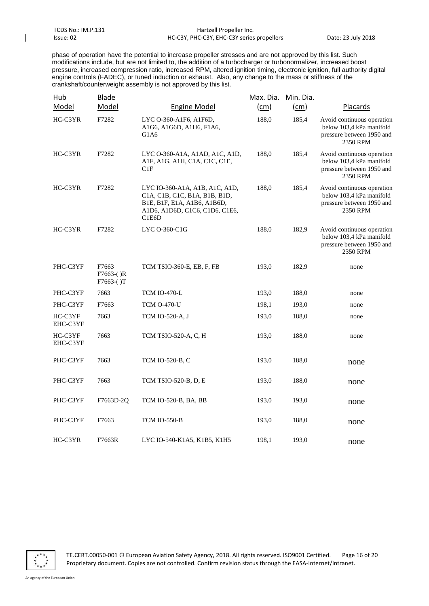phase of operation have the potential to increase propeller stresses and are not approved by this list. Such modifications include, but are not limited to, the addition of a turbocharger or turbonormalizer, increased boost pressure, increased compression ratio, increased RPM, altered ignition timing, electronic ignition, full authority digital engine controls (FADEC), or tuned induction or exhaust. Also, any change to the mass or stiffness of the crankshaft/counterweight assembly is not approved by this list.

| Hub                 | <b>Blade</b>                        |                                                                                                                                           | Max. Dia. Min. Dia. |       |                                                                                                 |
|---------------------|-------------------------------------|-------------------------------------------------------------------------------------------------------------------------------------------|---------------------|-------|-------------------------------------------------------------------------------------------------|
| Model               | Model                               | <b>Engine Model</b>                                                                                                                       | (cm)                | (cm)  | Placards                                                                                        |
| HC-C3YR             | F7282                               | LYC O-360-A1F6, A1F6D,<br>A1G6, A1G6D, A1H6, F1A6,<br>G1A6                                                                                | 188,0               | 185,4 | Avoid continuous operation<br>below 103,4 kPa manifold<br>pressure between 1950 and<br>2350 RPM |
| HC-C3YR             | F7282                               | LYC 0-360-A1A, A1AD, A1C, A1D,<br>A1F, A1G, A1H, C1A, C1C, C1E,<br>C1F                                                                    | 188,0               | 185,4 | Avoid continuous operation<br>below 103,4 kPa manifold<br>pressure between 1950 and<br>2350 RPM |
| HC-C3YR             | F7282                               | LYC IO-360-A1A, A1B, A1C, A1D,<br>C1A, C1B, C1C, B1A, B1B, B1D,<br>B1E, B1F, E1A, A1B6, A1B6D,<br>A1D6, A1D6D, C1C6, C1D6, C1E6,<br>C1E6D | 188,0               | 185,4 | Avoid continuous operation<br>below 103,4 kPa manifold<br>pressure between 1950 and<br>2350 RPM |
| HC-C3YR             | F7282                               | LYC 0-360-C1G                                                                                                                             | 188,0               | 182,9 | Avoid continuous operation<br>below 103,4 kPa manifold<br>pressure between 1950 and<br>2350 RPM |
| PHC-C3YF            | F7663<br>$F7663-()R$<br>$F7663-()T$ | TCM TSIO-360-E, EB, F, FB                                                                                                                 | 193,0               | 182,9 | none                                                                                            |
| PHC-C3YF            | 7663                                | TCM IO-470-L                                                                                                                              | 193,0               | 188,0 | none                                                                                            |
| PHC-C3YF            | F7663                               | TCM O-470-U                                                                                                                               | 198,1               | 193,0 | none                                                                                            |
| HC-C3YF<br>EHC-C3YF | 7663                                | TCM IO-520-A, J                                                                                                                           | 193,0               | 188,0 | none                                                                                            |
| HC-C3YF<br>EHC-C3YF | 7663                                | TCM TSIO-520-A, C, H                                                                                                                      | 193,0               | 188,0 | none                                                                                            |
| PHC-C3YF            | 7663                                | TCM IO-520-B, C                                                                                                                           | 193,0               | 188,0 | none                                                                                            |
| PHC-C3YF            | 7663                                | TCM TSIO-520-B, D, E                                                                                                                      | 193,0               | 188,0 | none                                                                                            |
| PHC-C3YF            | F7663D-2Q                           | TCM IO-520-B, BA, BB                                                                                                                      | 193,0               | 193,0 | none                                                                                            |
| PHC-C3YF            | F7663                               | TCM IO-550-B                                                                                                                              | 193,0               | 188,0 | none                                                                                            |
| HC-C3YR             | F7663R                              | LYC IO-540-K1A5, K1B5, K1H5                                                                                                               | 198,1               | 193,0 | none                                                                                            |

TE.CERT.00050-001 © European Aviation Safety Agency, 2018. All rights reserved. ISO9001 Certified. Page 16 of 20 Proprietary document. Copies are not controlled. Confirm revision status through the EASA-Internet/Intranet.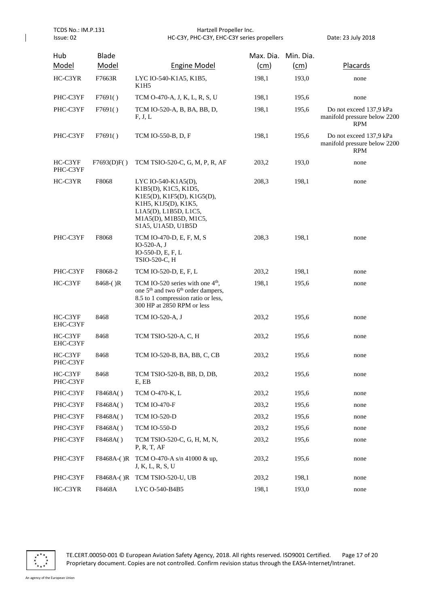TCDS No.: IM.P.131 Hartzell Propeller Inc.<br>Issue: 02 HC-C3Y, PHC-C3Y, EHC-C3Y series HC-C3Y, PHC-C3Y, EHC-C3Y series propellers Date: 23 July 2018

| Hub<br>Model        | <b>Blade</b><br>Model | <b>Engine Model</b>                                                                                                                                                                | $\left(\underline{\text{cm}}\right)$ | Max. Dia. Min. Dia.<br>$\left(\underline{\text{cm}}\right)$ | Placards                                                              |
|---------------------|-----------------------|------------------------------------------------------------------------------------------------------------------------------------------------------------------------------------|--------------------------------------|-------------------------------------------------------------|-----------------------------------------------------------------------|
| HC-C3YR             | F7663R                | LYC IO-540-K1A5, K1B5,<br>K1H5                                                                                                                                                     | 198.1                                | 193,0                                                       | none                                                                  |
| PHC-C3YF            | F7691()               | TCM 0-470-A, J, K, L, R, S, U                                                                                                                                                      | 198,1                                | 195,6                                                       | none                                                                  |
| PHC-C3YF            | F7691()               | TCM IO-520-A, B, BA, BB, D,<br>F, J, L                                                                                                                                             | 198,1                                | 195,6                                                       | Do not exceed 137,9 kPa<br>manifold pressure below 2200<br><b>RPM</b> |
| PHC-C3YF            | F7691()               | TCM IO-550-B, D, F                                                                                                                                                                 | 198,1                                | 195,6                                                       | Do not exceed 137,9 kPa<br>manifold pressure below 2200<br><b>RPM</b> |
| HC-C3YF<br>PHC-C3YF | F7693(D)F()           | TCM TSIO-520-C, G, M, P, R, AF                                                                                                                                                     | 203,2                                | 193,0                                                       | none                                                                  |
| HC-C3YR             | F8068                 | LYC IO-540-K1A5(D),<br>K1B5(D), K1C5, K1D5,<br>$K1E5(D)$ , $K1F5(D)$ , $K1G5(D)$ ,<br>K1H5, K1J5(D), K1K5,<br>L1A5(D), L1B5D, L1C5,<br>M1A5(D), M1B5D, M1C5,<br>S1A5, U1A5D, U1B5D | 208,3                                | 198,1                                                       | none                                                                  |
| PHC-C3YF            | F8068                 | TCM IO-470-D, E, F, M, S<br>IO-520-A, J<br>IO-550-D, E, F, L<br>TSIO-520-C, H                                                                                                      | 208,3                                | 198,1                                                       | none                                                                  |
| PHC-C3YF            | F8068-2               | TCM IO-520-D, E, F, L                                                                                                                                                              | 203,2                                | 198,1                                                       | none                                                                  |
| HC-C3YF             | $8468-()R$            | TCM IO-520 series with one $4th$ ,<br>one 5 <sup>th</sup> and two 6 <sup>th</sup> order dampers,<br>8.5 to 1 compression ratio or less,<br>300 HP at 2850 RPM or less              | 198,1                                | 195,6                                                       | none                                                                  |
| HC-C3YF<br>EHC-C3YF | 8468                  | TCM IO-520-A, J                                                                                                                                                                    | 203,2                                | 195,6                                                       | none                                                                  |
| HC-C3YF<br>EHC-C3YF | 8468                  | TCM TSIO-520-A, C, H                                                                                                                                                               | 203,2                                | 195,6                                                       | none                                                                  |
| HC-C3YF<br>PHC-C3YF | 8468                  | TCM IO-520-B, BA, BB, C, CB                                                                                                                                                        | 203,2                                | 195,6                                                       | none                                                                  |
| HC-C3YF<br>PHC-C3YF | 8468                  | TCM TSIO-520-B, BB, D, DB,<br>E, EB                                                                                                                                                | 203,2                                | 195,6                                                       | none                                                                  |
| PHC-C3YF            | F8468A()              | TCM O-470-K, L                                                                                                                                                                     | 203,2                                | 195,6                                                       | none                                                                  |
| PHC-C3YF            | F8468A()              | <b>TCM IO-470-F</b>                                                                                                                                                                | 203,2                                | 195,6                                                       | none                                                                  |
| PHC-C3YF            | F8468A()              | <b>TCM IO-520-D</b>                                                                                                                                                                | 203,2                                | 195,6                                                       | none                                                                  |
| PHC-C3YF            | F8468A()              | <b>TCM IO-550-D</b>                                                                                                                                                                | 203,2                                | 195,6                                                       | none                                                                  |
| PHC-C3YF            | F8468A()              | TCM TSIO-520-C, G, H, M, N,<br>P, R, T, AF                                                                                                                                         | 203,2                                | 195,6                                                       | none                                                                  |
| PHC-C3YF            | F8468A-()R            | TCM O-470-A s/n 41000 & up,<br>J, K, L, R, S, U                                                                                                                                    | 203,2                                | 195,6                                                       | none                                                                  |
| PHC-C3YF            |                       | F8468A-()R TCM TSIO-520-U, UB                                                                                                                                                      | 203,2                                | 198,1                                                       | none                                                                  |
| HC-C3YR             | F8468A                | LYC O-540-B4B5                                                                                                                                                                     | 198,1                                | 193,0                                                       | none                                                                  |

 $\frac{x}{x}$ 

TE.CERT.00050-001 © European Aviation Safety Agency, 2018. All rights reserved. ISO9001 Certified. Page 17 of 20 Proprietary document. Copies are not controlled. Confirm revision status through the EASA-Internet/Intranet.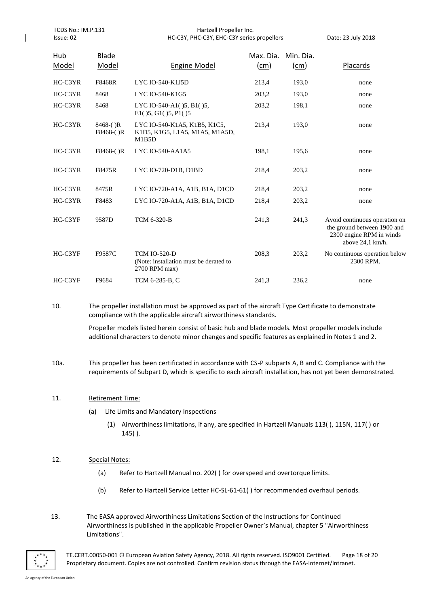TCDS No.: IM.P.131 Hartzell Propeller Inc. Issue: 02 HC-C3Y, PHC-C3Y, EHC-C3Y series propellers Date: 23 July 2018

| Hub<br><b>Model</b> | Blade<br><b>Model</b>     | <b>Engine Model</b>                                                                                     | Max. Dia.<br><u>(cm)</u> | Min. Dia.<br><u>(cm)</u> | <b>Placards</b>                                                                                              |
|---------------------|---------------------------|---------------------------------------------------------------------------------------------------------|--------------------------|--------------------------|--------------------------------------------------------------------------------------------------------------|
| HC-C3YR             | F8468R                    | LYC IO-540-K1J5D                                                                                        | 213,4                    | 193,0                    | none                                                                                                         |
| $HC-C3YR$           | 8468                      | LYC IO-540-K1G5                                                                                         | 203,2                    | 193,0                    | none                                                                                                         |
| HC-C3YR             | 8468                      | LYC IO-540-A1( $\overline{)5, B1(}$ )5,<br>E1( $\overline{5}$ , G1( $\overline{5}$ , P1( $\overline{5}$ | 203,2                    | 198,1                    | none                                                                                                         |
| HC-C3YR             | $8468-()R$<br>$F8468-()R$ | LYC IO-540-K1A5, K1B5, K1C5,<br>K1D5, K1G5, L1A5, M1A5, M1A5D,<br>M1B5D                                 | 213,4                    | 193,0                    | none                                                                                                         |
| $HC-C3YR$           | $F8468-()R$               | LYC IO-540-AA1A5                                                                                        | 198.1                    | 195,6                    | none                                                                                                         |
| $HC-C3YR$           | F8475R                    | LYC IO-720-D1B, D1BD                                                                                    | 218,4                    | 203,2                    | none                                                                                                         |
| $HC-C3YR$           | 8475R                     | LYC IO-720-A1A, A1B, B1A, D1CD                                                                          | 218,4                    | 203,2                    | none                                                                                                         |
| $HC-C3YR$           | F8483                     | LYC IO-720-A1A, A1B, B1A, D1CD                                                                          | 218,4                    | 203,2                    | none                                                                                                         |
| $HC-C3YF$           | 9587D                     | TCM 6-320-B                                                                                             | 241,3                    | 241,3                    | Avoid continuous operation on<br>the ground between 1900 and<br>2300 engine RPM in winds<br>above 24,1 km/h. |
| HC-C3YF             | F9587C                    | <b>TCM IO-520-D</b><br>(Note: installation must be derated to<br>2700 RPM max)                          | 208,3                    | 203,2                    | No continuous operation below<br>2300 RPM.                                                                   |
| HC-C3YF             | F9684                     | TCM 6-285-B, C                                                                                          | 241,3                    | 236,2                    | none                                                                                                         |

#### 10. The propeller installation must be approved as part of the aircraft Type Certificate to demonstrate compliance with the applicable aircraft airworthiness standards.

Propeller models listed herein consist of basic hub and blade models. Most propeller models include additional characters to denote minor changes and specific features as explained in Notes 1 and 2.

10a. This propeller has been certificated in accordance with CS-P subparts A, B and C. Compliance with the requirements of Subpart D, which is specific to each aircraft installation, has not yet been demonstrated.

#### 11. Retirement Time:

- (a) Life Limits and Mandatory Inspections
	- (1) Airworthiness limitations, if any, are specified in Hartzell Manuals 113( ), 115N, 117( ) or 145( ).

#### 12. Special Notes:

- (a) Refer to Hartzell Manual no. 202( ) for overspeed and overtorque limits.
- (b) Refer to Hartzell Service Letter HC-SL-61-61( ) for recommended overhaul periods.
- 13. The EASA approved Airworthiness Limitations Section of the Instructions for Continued Airworthiness is published in the applicable Propeller Owner's Manual, chapter 5 "Airworthiness Limitations".



TE.CERT.00050-001 © European Aviation Safety Agency, 2018. All rights reserved. ISO9001 Certified. Page 18 of 20 Proprietary document. Copies are not controlled. Confirm revision status through the EASA-Internet/Intranet.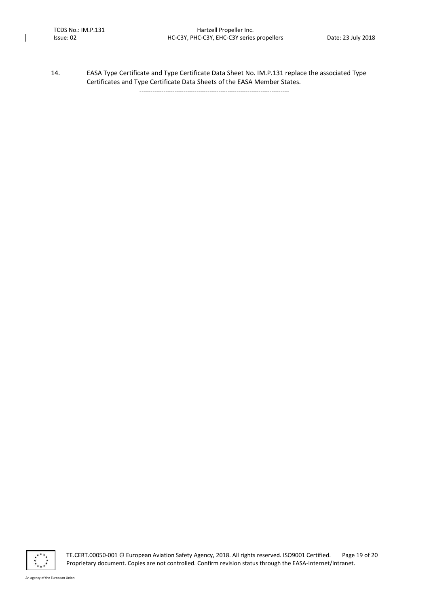14. EASA Type Certificate and Type Certificate Data Sheet No. IM.P.131 replace the associated Type Certificates and Type Certificate Data Sheets of the EASA Member States. --------------------------------------------------------------------



TE.CERT.00050-001 © European Aviation Safety Agency, 2018. All rights reserved. ISO9001 Certified. Page 19 of 20 Proprietary document. Copies are not controlled. Confirm revision status through the EASA-Internet/Intranet.